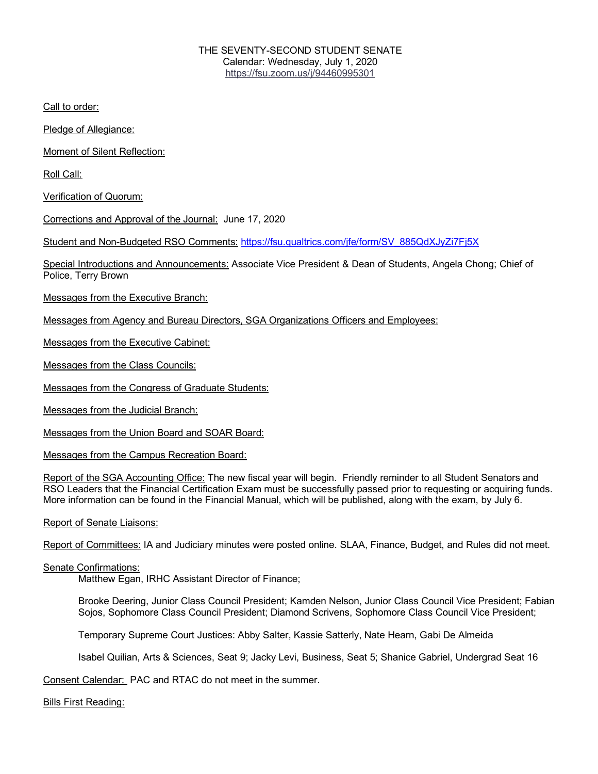## THE SEVENTY-SECOND STUDENT SENATE Calendar: Wednesday, July 1, 2020 https://fsu.zoom.us/j/94460995301

Call to order:

Pledge of Allegiance:

Moment of Silent Reflection:

Roll Call:

Verification of Quorum:

Corrections and Approval of the Journal: June 17, 2020

Student and Non-Budgeted RSO Comments: https://fsu.qualtrics.com/jfe/form/SV\_885QdXJyZi7Fj5X

Special Introductions and Announcements: Associate Vice President & Dean of Students, Angela Chong; Chief of Police, Terry Brown

Messages from the Executive Branch:

Messages from Agency and Bureau Directors, SGA Organizations Officers and Employees:

Messages from the Executive Cabinet:

Messages from the Class Councils:

Messages from the Congress of Graduate Students:

Messages from the Judicial Branch:

Messages from the Union Board and SOAR Board:

Messages from the Campus Recreation Board:

Report of the SGA Accounting Office: The new fiscal year will begin. Friendly reminder to all Student Senators and RSO Leaders that the Financial Certification Exam must be successfully passed prior to requesting or acquiring funds. More information can be found in the Financial Manual, which will be published, along with the exam, by July 6.

Report of Senate Liaisons:

Report of Committees: IA and Judiciary minutes were posted online. SLAA, Finance, Budget, and Rules did not meet.

## Senate Confirmations:

Matthew Egan, IRHC Assistant Director of Finance;

Brooke Deering, Junior Class Council President; Kamden Nelson, Junior Class Council Vice President; Fabian Sojos, Sophomore Class Council President; Diamond Scrivens, Sophomore Class Council Vice President;

Temporary Supreme Court Justices: Abby Salter, Kassie Satterly, Nate Hearn, Gabi De Almeida

Isabel Quilian, Arts & Sciences, Seat 9; Jacky Levi, Business, Seat 5; Shanice Gabriel, Undergrad Seat 16

Consent Calendar: PAC and RTAC do not meet in the summer.

Bills First Reading: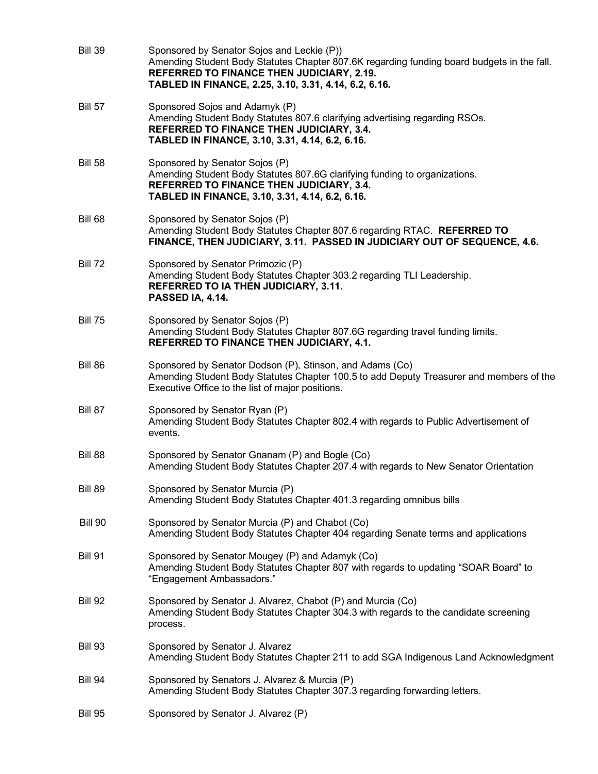| <b>Bill 39</b> | Sponsored by Senator Sojos and Leckie (P))<br>Amending Student Body Statutes Chapter 807.6K regarding funding board budgets in the fall.<br>REFERRED TO FINANCE THEN JUDICIARY, 2.19.<br>TABLED IN FINANCE, 2.25, 3.10, 3.31, 4.14, 6.2, 6.16. |
|----------------|------------------------------------------------------------------------------------------------------------------------------------------------------------------------------------------------------------------------------------------------|
| <b>Bill 57</b> | Sponsored Sojos and Adamyk (P)<br>Amending Student Body Statutes 807.6 clarifying advertising regarding RSOs.<br>REFERRED TO FINANCE THEN JUDICIARY, 3.4.<br>TABLED IN FINANCE, 3.10, 3.31, 4.14, 6.2, 6.16.                                   |
| <b>Bill 58</b> | Sponsored by Senator Sojos (P)<br>Amending Student Body Statutes 807.6G clarifying funding to organizations.<br>REFERRED TO FINANCE THEN JUDICIARY, 3.4.<br>TABLED IN FINANCE, 3.10, 3.31, 4.14, 6.2, 6.16.                                    |
| Bill 68        | Sponsored by Senator Sojos (P)<br>Amending Student Body Statutes Chapter 807.6 regarding RTAC. REFERRED TO<br>FINANCE, THEN JUDICIARY, 3.11. PASSED IN JUDICIARY OUT OF SEQUENCE, 4.6.                                                         |
| <b>Bill 72</b> | Sponsored by Senator Primozic (P)<br>Amending Student Body Statutes Chapter 303.2 regarding TLI Leadership.<br>REFERRED TO IA THEN JUDICIARY, 3.11.<br>PASSED IA, 4.14.                                                                        |
| <b>Bill 75</b> | Sponsored by Senator Sojos (P)<br>Amending Student Body Statutes Chapter 807.6G regarding travel funding limits.<br>REFERRED TO FINANCE THEN JUDICIARY, 4.1.                                                                                   |
| Bill 86        | Sponsored by Senator Dodson (P), Stinson, and Adams (Co)<br>Amending Student Body Statutes Chapter 100.5 to add Deputy Treasurer and members of the<br>Executive Office to the list of major positions.                                        |
| Bill 87        | Sponsored by Senator Ryan (P)<br>Amending Student Body Statutes Chapter 802.4 with regards to Public Advertisement of<br>events.                                                                                                               |
| Bill 88        | Sponsored by Senator Gnanam (P) and Bogle (Co)<br>Amending Student Body Statutes Chapter 207.4 with regards to New Senator Orientation                                                                                                         |
| <b>Bill 89</b> | Sponsored by Senator Murcia (P)<br>Amending Student Body Statutes Chapter 401.3 regarding omnibus bills                                                                                                                                        |
| <b>Bill 90</b> | Sponsored by Senator Murcia (P) and Chabot (Co)<br>Amending Student Body Statutes Chapter 404 regarding Senate terms and applications                                                                                                          |
| <b>Bill 91</b> | Sponsored by Senator Mougey (P) and Adamyk (Co)<br>Amending Student Body Statutes Chapter 807 with regards to updating "SOAR Board" to<br>"Engagement Ambassadors."                                                                            |
| <b>Bill 92</b> | Sponsored by Senator J. Alvarez, Chabot (P) and Murcia (Co)<br>Amending Student Body Statutes Chapter 304.3 with regards to the candidate screening<br>process.                                                                                |
| <b>Bill 93</b> | Sponsored by Senator J. Alvarez<br>Amending Student Body Statutes Chapter 211 to add SGA Indigenous Land Acknowledgment                                                                                                                        |
| Bill 94        | Sponsored by Senators J. Alvarez & Murcia (P)<br>Amending Student Body Statutes Chapter 307.3 regarding forwarding letters.                                                                                                                    |
| <b>Bill 95</b> | Sponsored by Senator J. Alvarez (P)                                                                                                                                                                                                            |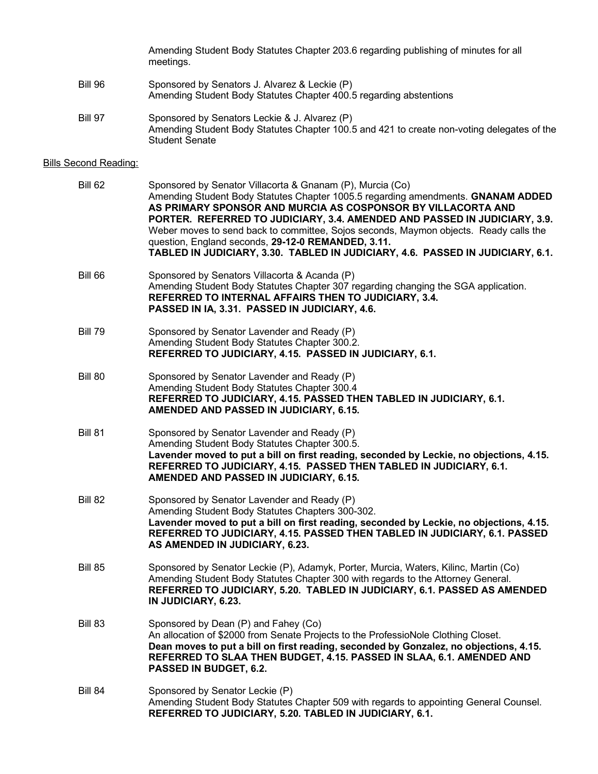Amending Student Body Statutes Chapter 203.6 regarding publishing of minutes for all meetings.

- Bill 96 Sponsored by Senators J. Alvarez & Leckie (P) Amending Student Body Statutes Chapter 400.5 regarding abstentions
- Bill 97 Sponsored by Senators Leckie & J. Alvarez (P) Amending Student Body Statutes Chapter 100.5 and 421 to create non-voting delegates of the Student Senate

### Bills Second Reading:

| Bill 62        | Sponsored by Senator Villacorta & Gnanam (P), Murcia (Co)<br>Amending Student Body Statutes Chapter 1005.5 regarding amendments. GNANAM ADDED<br>AS PRIMARY SPONSOR AND MURCIA AS COSPONSOR BY VILLACORTA AND<br>PORTER. REFERRED TO JUDICIARY, 3.4. AMENDED AND PASSED IN JUDICIARY, 3.9.<br>Weber moves to send back to committee, Sojos seconds, Maymon objects. Ready calls the<br>question, England seconds, 29-12-0 REMANDED, 3.11.<br>TABLED IN JUDICIARY, 3.30. TABLED IN JUDICIARY, 4.6. PASSED IN JUDICIARY, 6.1. |
|----------------|-----------------------------------------------------------------------------------------------------------------------------------------------------------------------------------------------------------------------------------------------------------------------------------------------------------------------------------------------------------------------------------------------------------------------------------------------------------------------------------------------------------------------------|
| Bill 66        | Sponsored by Senators Villacorta & Acanda (P)<br>Amending Student Body Statutes Chapter 307 regarding changing the SGA application.<br>REFERRED TO INTERNAL AFFAIRS THEN TO JUDICIARY, 3.4.<br>PASSED IN IA, 3.31. PASSED IN JUDICIARY, 4.6.                                                                                                                                                                                                                                                                                |
| <b>Bill 79</b> | Sponsored by Senator Lavender and Ready (P)<br>Amending Student Body Statutes Chapter 300.2.<br>REFERRED TO JUDICIARY, 4.15. PASSED IN JUDICIARY, 6.1.                                                                                                                                                                                                                                                                                                                                                                      |
| <b>Bill 80</b> | Sponsored by Senator Lavender and Ready (P)<br>Amending Student Body Statutes Chapter 300.4<br>REFERRED TO JUDICIARY, 4.15. PASSED THEN TABLED IN JUDICIARY, 6.1.<br>AMENDED AND PASSED IN JUDICIARY, 6.15.                                                                                                                                                                                                                                                                                                                 |
| <b>Bill 81</b> | Sponsored by Senator Lavender and Ready (P)<br>Amending Student Body Statutes Chapter 300.5.<br>Lavender moved to put a bill on first reading, seconded by Leckie, no objections, 4.15.<br>REFERRED TO JUDICIARY, 4.15. PASSED THEN TABLED IN JUDICIARY, 6.1.<br>AMENDED AND PASSED IN JUDICIARY, 6.15.                                                                                                                                                                                                                     |
| <b>Bill 82</b> | Sponsored by Senator Lavender and Ready (P)<br>Amending Student Body Statutes Chapters 300-302.<br>Lavender moved to put a bill on first reading, seconded by Leckie, no objections, 4.15.<br>REFERRED TO JUDICIARY, 4.15. PASSED THEN TABLED IN JUDICIARY, 6.1. PASSED<br>AS AMENDED IN JUDICIARY, 6.23.                                                                                                                                                                                                                   |
| <b>Bill 85</b> | Sponsored by Senator Leckie (P), Adamyk, Porter, Murcia, Waters, Kilinc, Martin (Co)<br>Amending Student Body Statutes Chapter 300 with regards to the Attorney General.<br>REFERRED TO JUDICIARY, 5.20. TABLED IN JUDICIARY, 6.1. PASSED AS AMENDED<br>IN JUDICIARY, 6.23.                                                                                                                                                                                                                                                 |
| Bill 83        | Sponsored by Dean (P) and Fahey (Co)<br>An allocation of \$2000 from Senate Projects to the ProfessioNole Clothing Closet.<br>Dean moves to put a bill on first reading, seconded by Gonzalez, no objections, 4.15.<br>REFERRED TO SLAA THEN BUDGET, 4.15. PASSED IN SLAA, 6.1. AMENDED AND<br>PASSED IN BUDGET, 6.2.                                                                                                                                                                                                       |
| Bill 84        | Sponsored by Senator Leckie (P)<br>Amending Student Body Statutes Chapter 509 with regards to appointing General Counsel.<br>REFERRED TO JUDICIARY, 5.20. TABLED IN JUDICIARY, 6.1.                                                                                                                                                                                                                                                                                                                                         |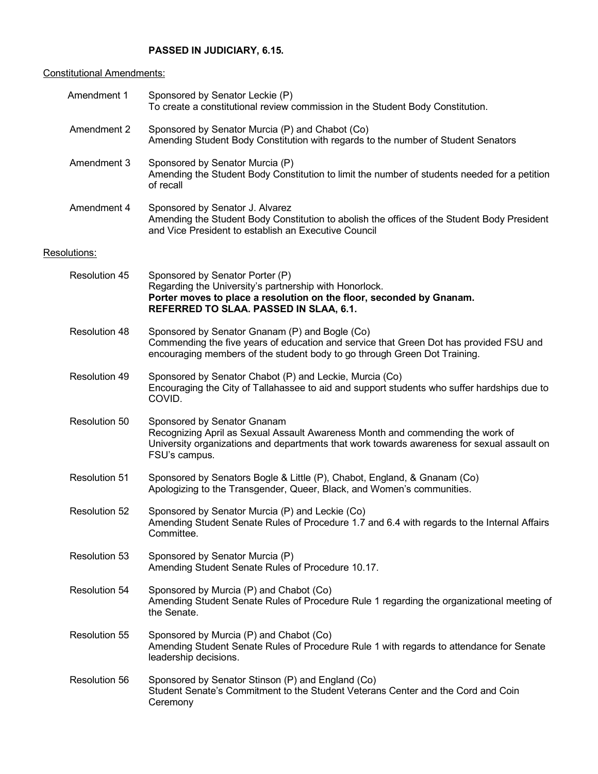# **PASSED IN JUDICIARY, 6.15.**

# Constitutional Amendments:

| Amendment 1          | Sponsored by Senator Leckie (P)<br>To create a constitutional review commission in the Student Body Constitution.                                                                                                            |
|----------------------|------------------------------------------------------------------------------------------------------------------------------------------------------------------------------------------------------------------------------|
| Amendment 2          | Sponsored by Senator Murcia (P) and Chabot (Co)<br>Amending Student Body Constitution with regards to the number of Student Senators                                                                                         |
| Amendment 3          | Sponsored by Senator Murcia (P)<br>Amending the Student Body Constitution to limit the number of students needed for a petition<br>of recall                                                                                 |
| Amendment 4          | Sponsored by Senator J. Alvarez<br>Amending the Student Body Constitution to abolish the offices of the Student Body President<br>and Vice President to establish an Executive Council                                       |
| Resolutions:         |                                                                                                                                                                                                                              |
| <b>Resolution 45</b> | Sponsored by Senator Porter (P)<br>Regarding the University's partnership with Honorlock.<br>Porter moves to place a resolution on the floor, seconded by Gnanam.<br>REFERRED TO SLAA. PASSED IN SLAA, 6.1.                  |
| Resolution 48        | Sponsored by Senator Gnanam (P) and Bogle (Co)<br>Commending the five years of education and service that Green Dot has provided FSU and<br>encouraging members of the student body to go through Green Dot Training.        |
| Resolution 49        | Sponsored by Senator Chabot (P) and Leckie, Murcia (Co)<br>Encouraging the City of Tallahassee to aid and support students who suffer hardships due to<br>COVID.                                                             |
| Resolution 50        | Sponsored by Senator Gnanam<br>Recognizing April as Sexual Assault Awareness Month and commending the work of<br>University organizations and departments that work towards awareness for sexual assault on<br>FSU's campus. |
| <b>Resolution 51</b> | Sponsored by Senators Bogle & Little (P), Chabot, England, & Gnanam (Co)<br>Apologizing to the Transgender, Queer, Black, and Women's communities.                                                                           |
| <b>Resolution 52</b> | Sponsored by Senator Murcia (P) and Leckie (Co)<br>Amending Student Senate Rules of Procedure 1.7 and 6.4 with regards to the Internal Affairs<br>Committee.                                                                 |
| <b>Resolution 53</b> | Sponsored by Senator Murcia (P)<br>Amending Student Senate Rules of Procedure 10.17.                                                                                                                                         |
| Resolution 54        | Sponsored by Murcia (P) and Chabot (Co)<br>Amending Student Senate Rules of Procedure Rule 1 regarding the organizational meeting of<br>the Senate.                                                                          |
| <b>Resolution 55</b> | Sponsored by Murcia (P) and Chabot (Co)<br>Amending Student Senate Rules of Procedure Rule 1 with regards to attendance for Senate<br>leadership decisions.                                                                  |
| Resolution 56        | Sponsored by Senator Stinson (P) and England (Co)<br>Student Senate's Commitment to the Student Veterans Center and the Cord and Coin<br>Ceremony                                                                            |